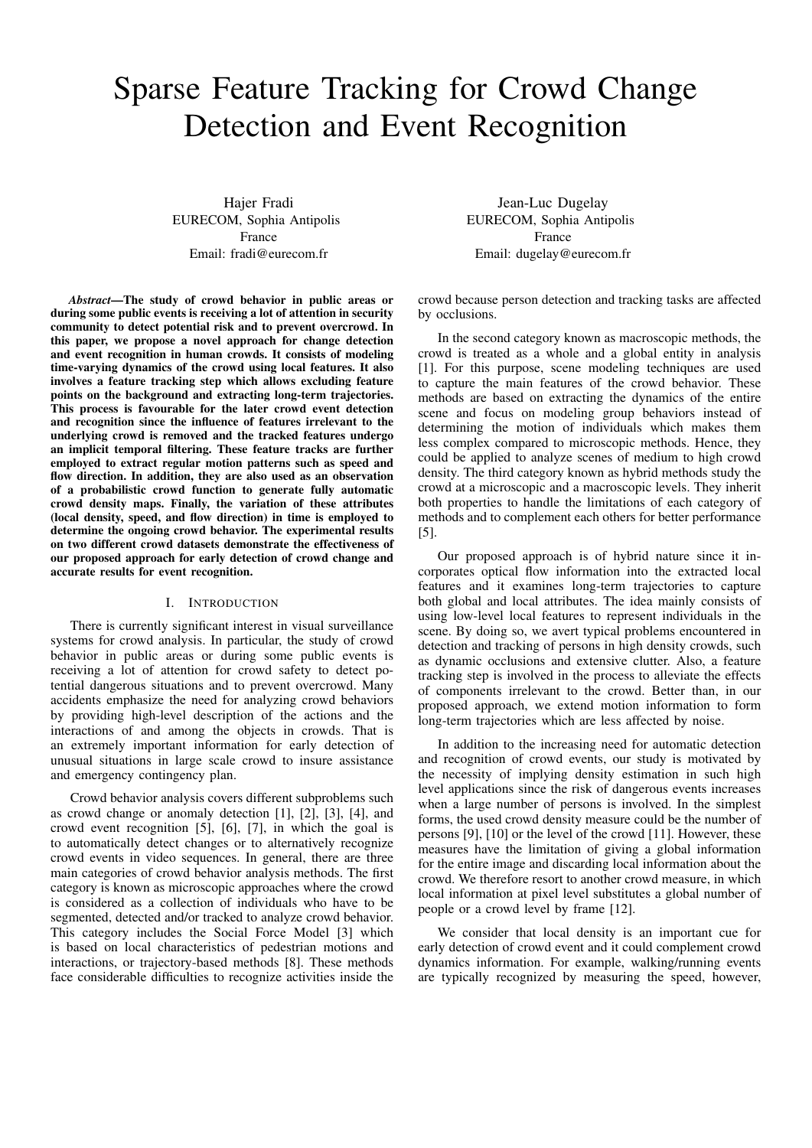# Sparse Feature Tracking for Crowd Change Detection and Event Recognition

Hajer Fradi EURECOM, Sophia Antipolis France Email: fradi@eurecom.fr

*Abstract*—The study of crowd behavior in public areas or during some public events is receiving a lot of attention in security community to detect potential risk and to prevent overcrowd. In this paper, we propose a novel approach for change detection and event recognition in human crowds. It consists of modeling time-varying dynamics of the crowd using local features. It also involves a feature tracking step which allows excluding feature points on the background and extracting long-term trajectories. This process is favourable for the later crowd event detection and recognition since the influence of features irrelevant to the underlying crowd is removed and the tracked features undergo an implicit temporal filtering. These feature tracks are further employed to extract regular motion patterns such as speed and flow direction. In addition, they are also used as an observation of a probabilistic crowd function to generate fully automatic crowd density maps. Finally, the variation of these attributes (local density, speed, and flow direction) in time is employed to determine the ongoing crowd behavior. The experimental results on two different crowd datasets demonstrate the effectiveness of our proposed approach for early detection of crowd change and accurate results for event recognition.

# I. INTRODUCTION

There is currently significant interest in visual surveillance systems for crowd analysis. In particular, the study of crowd behavior in public areas or during some public events is receiving a lot of attention for crowd safety to detect potential dangerous situations and to prevent overcrowd. Many accidents emphasize the need for analyzing crowd behaviors by providing high-level description of the actions and the interactions of and among the objects in crowds. That is an extremely important information for early detection of unusual situations in large scale crowd to insure assistance and emergency contingency plan.

Crowd behavior analysis covers different subproblems such as crowd change or anomaly detection [1], [2], [3], [4], and crowd event recognition [5], [6], [7], in which the goal is to automatically detect changes or to alternatively recognize crowd events in video sequences. In general, there are three main categories of crowd behavior analysis methods. The first category is known as microscopic approaches where the crowd is considered as a collection of individuals who have to be segmented, detected and/or tracked to analyze crowd behavior. This category includes the Social Force Model [3] which is based on local characteristics of pedestrian motions and interactions, or trajectory-based methods [8]. These methods face considerable difficulties to recognize activities inside the

Jean-Luc Dugelay EURECOM, Sophia Antipolis France Email: dugelay@eurecom.fr

crowd because person detection and tracking tasks are affected by occlusions.

In the second category known as macroscopic methods, the crowd is treated as a whole and a global entity in analysis [1]. For this purpose, scene modeling techniques are used to capture the main features of the crowd behavior. These methods are based on extracting the dynamics of the entire scene and focus on modeling group behaviors instead of determining the motion of individuals which makes them less complex compared to microscopic methods. Hence, they could be applied to analyze scenes of medium to high crowd density. The third category known as hybrid methods study the crowd at a microscopic and a macroscopic levels. They inherit both properties to handle the limitations of each category of methods and to complement each others for better performance [5].

Our proposed approach is of hybrid nature since it incorporates optical flow information into the extracted local features and it examines long-term trajectories to capture both global and local attributes. The idea mainly consists of using low-level local features to represent individuals in the scene. By doing so, we avert typical problems encountered in detection and tracking of persons in high density crowds, such as dynamic occlusions and extensive clutter. Also, a feature tracking step is involved in the process to alleviate the effects of components irrelevant to the crowd. Better than, in our proposed approach, we extend motion information to form long-term trajectories which are less affected by noise.

In addition to the increasing need for automatic detection and recognition of crowd events, our study is motivated by the necessity of implying density estimation in such high level applications since the risk of dangerous events increases when a large number of persons is involved. In the simplest forms, the used crowd density measure could be the number of persons [9], [10] or the level of the crowd [11]. However, these measures have the limitation of giving a global information for the entire image and discarding local information about the crowd. We therefore resort to another crowd measure, in which local information at pixel level substitutes a global number of people or a crowd level by frame [12].

We consider that local density is an important cue for early detection of crowd event and it could complement crowd dynamics information. For example, walking/running events are typically recognized by measuring the speed, however,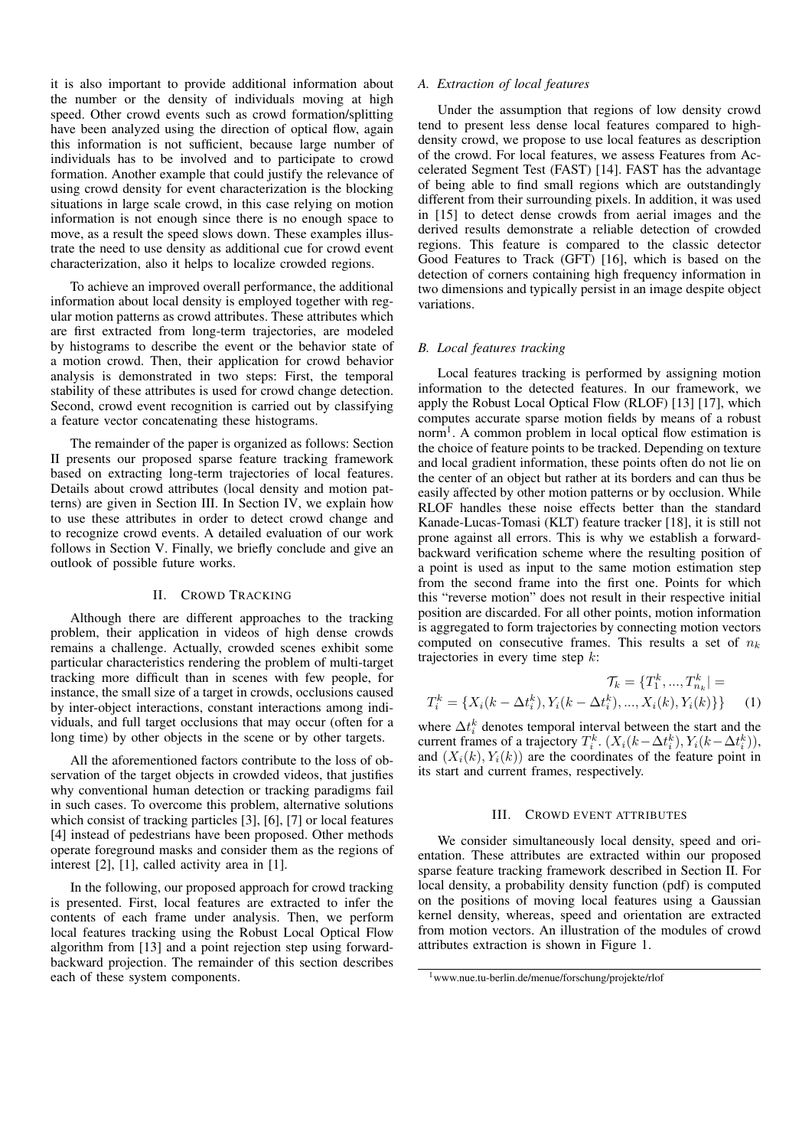it is also important to provide additional information about the number or the density of individuals moving at high speed. Other crowd events such as crowd formation/splitting have been analyzed using the direction of optical flow, again this information is not sufficient, because large number of individuals has to be involved and to participate to crowd formation. Another example that could justify the relevance of using crowd density for event characterization is the blocking situations in large scale crowd, in this case relying on motion information is not enough since there is no enough space to move, as a result the speed slows down. These examples illustrate the need to use density as additional cue for crowd event characterization, also it helps to localize crowded regions.

To achieve an improved overall performance, the additional information about local density is employed together with regular motion patterns as crowd attributes. These attributes which are first extracted from long-term trajectories, are modeled by histograms to describe the event or the behavior state of a motion crowd. Then, their application for crowd behavior analysis is demonstrated in two steps: First, the temporal stability of these attributes is used for crowd change detection. Second, crowd event recognition is carried out by classifying a feature vector concatenating these histograms.

The remainder of the paper is organized as follows: Section II presents our proposed sparse feature tracking framework based on extracting long-term trajectories of local features. Details about crowd attributes (local density and motion patterns) are given in Section III. In Section IV, we explain how to use these attributes in order to detect crowd change and to recognize crowd events. A detailed evaluation of our work follows in Section V. Finally, we briefly conclude and give an outlook of possible future works.

# II. CROWD TRACKING

Although there are different approaches to the tracking problem, their application in videos of high dense crowds remains a challenge. Actually, crowded scenes exhibit some particular characteristics rendering the problem of multi-target tracking more difficult than in scenes with few people, for instance, the small size of a target in crowds, occlusions caused by inter-object interactions, constant interactions among individuals, and full target occlusions that may occur (often for a long time) by other objects in the scene or by other targets.

All the aforementioned factors contribute to the loss of observation of the target objects in crowded videos, that justifies why conventional human detection or tracking paradigms fail in such cases. To overcome this problem, alternative solutions which consist of tracking particles [3], [6], [7] or local features [4] instead of pedestrians have been proposed. Other methods operate foreground masks and consider them as the regions of interest [2], [1], called activity area in [1].

In the following, our proposed approach for crowd tracking is presented. First, local features are extracted to infer the contents of each frame under analysis. Then, we perform local features tracking using the Robust Local Optical Flow algorithm from [13] and a point rejection step using forwardbackward projection. The remainder of this section describes each of these system components.

# *A. Extraction of local features*

Under the assumption that regions of low density crowd tend to present less dense local features compared to highdensity crowd, we propose to use local features as description of the crowd. For local features, we assess Features from Accelerated Segment Test (FAST) [14]. FAST has the advantage of being able to find small regions which are outstandingly different from their surrounding pixels. In addition, it was used in [15] to detect dense crowds from aerial images and the derived results demonstrate a reliable detection of crowded regions. This feature is compared to the classic detector Good Features to Track (GFT) [16], which is based on the detection of corners containing high frequency information in two dimensions and typically persist in an image despite object variations.

# *B. Local features tracking*

Local features tracking is performed by assigning motion information to the detected features. In our framework, we apply the Robust Local Optical Flow (RLOF) [13] [17], which computes accurate sparse motion fields by means of a robust norm<sup>1</sup>. A common problem in local optical flow estimation is the choice of feature points to be tracked. Depending on texture and local gradient information, these points often do not lie on the center of an object but rather at its borders and can thus be easily affected by other motion patterns or by occlusion. While RLOF handles these noise effects better than the standard Kanade-Lucas-Tomasi (KLT) feature tracker [18], it is still not prone against all errors. This is why we establish a forwardbackward verification scheme where the resulting position of a point is used as input to the same motion estimation step from the second frame into the first one. Points for which this "reverse motion" does not result in their respective initial position are discarded. For all other points, motion information is aggregated to form trajectories by connecting motion vectors computed on consecutive frames. This results a set of  $n_k$ trajectories in every time step  $k$ :

$$
\mathcal{T}_{k} = \{T_{1}^{k}, ..., T_{n_{k}}^{k}| =
$$
  

$$
T_{i}^{k} = \{X_{i}(k - \Delta t_{i}^{k}), Y_{i}(k - \Delta t_{i}^{k}), ..., X_{i}(k), Y_{i}(k)\}\}
$$
(1)

where  $\Delta t_i^k$  denotes temporal interval between the start and the current frames of a trajectory  $T_i^k$ .  $(X_i(k-\Delta t_i^k), Y_i(k-\Delta t_i^k)),$ and  $(X_i(k), Y_i(k))$  are the coordinates of the feature point in its start and current frames, respectively.

## III. CROWD EVENT ATTRIBUTES

We consider simultaneously local density, speed and orientation. These attributes are extracted within our proposed sparse feature tracking framework described in Section II. For local density, a probability density function (pdf) is computed on the positions of moving local features using a Gaussian kernel density, whereas, speed and orientation are extracted from motion vectors. An illustration of the modules of crowd attributes extraction is shown in Figure 1.

<sup>1</sup>www.nue.tu-berlin.de/menue/forschung/projekte/rlof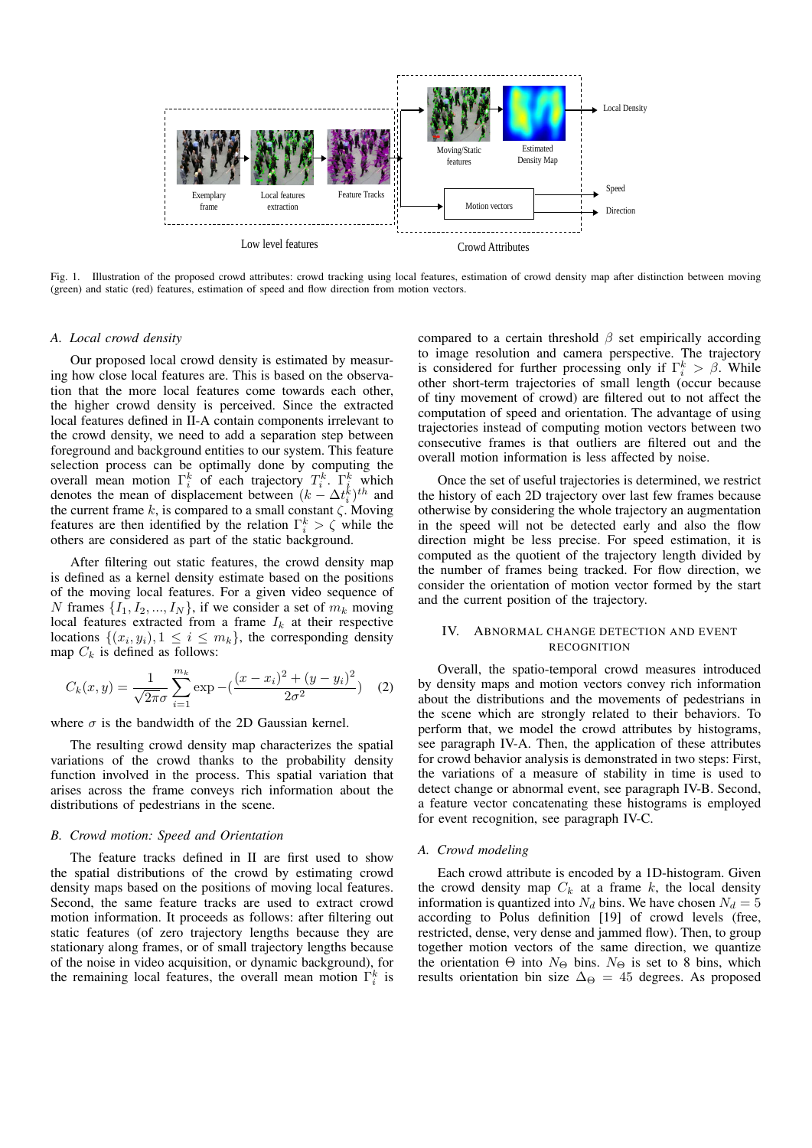

Fig. 1. Illustration of the proposed crowd attributes: crowd tracking using local features, estimation of crowd density map after distinction between moving (green) and static (red) features, estimation of speed and flow direction from motion vectors.

#### *A. Local crowd density*

Our proposed local crowd density is estimated by measuring how close local features are. This is based on the observation that the more local features come towards each other, the higher crowd density is perceived. Since the extracted local features defined in II-A contain components irrelevant to the crowd density, we need to add a separation step between foreground and background entities to our system. This feature selection process can be optimally done by computing the overall mean motion  $\Gamma_i^k$  of each trajectory  $T_i^k$ .  $\Gamma_j^k$  which overall linear motion  $\mathbf{r}_i$  or each diagectory  $\mathbf{r}_i$ .  $\mathbf{r}_j$  which denotes the mean of displacement between  $(k - \Delta t_i^k)^{th}$  and the current frame  $k$ , is compared to a small constant  $\zeta$ . Moving features are then identified by the relation  $\Gamma_i^k > \zeta$  while the others are considered as part of the static background.

After filtering out static features, the crowd density map is defined as a kernel density estimate based on the positions of the moving local features. For a given video sequence of N frames  $\{I_1, I_2, ..., I_N\}$ , if we consider a set of  $m_k$  moving local features extracted from a frame  $I_k$  at their respective locations  $\{(x_i, y_i), 1 \leq i \leq m_k\}$ , the corresponding density map  $C_k$  is defined as follows:

$$
C_k(x,y) = \frac{1}{\sqrt{2\pi}\sigma} \sum_{i=1}^{m_k} \exp\left(-\frac{(x-x_i)^2 + (y-y_i)^2}{2\sigma^2}\right) \tag{2}
$$

where  $\sigma$  is the bandwidth of the 2D Gaussian kernel.

The resulting crowd density map characterizes the spatial variations of the crowd thanks to the probability density function involved in the process. This spatial variation that arises across the frame conveys rich information about the distributions of pedestrians in the scene.

## *B. Crowd motion: Speed and Orientation*

The feature tracks defined in II are first used to show the spatial distributions of the crowd by estimating crowd density maps based on the positions of moving local features. Second, the same feature tracks are used to extract crowd motion information. It proceeds as follows: after filtering out static features (of zero trajectory lengths because they are stationary along frames, or of small trajectory lengths because of the noise in video acquisition, or dynamic background), for the remaining local features, the overall mean motion  $\Gamma_i^k$  is

compared to a certain threshold  $\beta$  set empirically according to image resolution and camera perspective. The trajectory is considered for further processing only if  $\Gamma_i^k > \beta$ . While other short-term trajectories of small length (occur because of tiny movement of crowd) are filtered out to not affect the computation of speed and orientation. The advantage of using trajectories instead of computing motion vectors between two consecutive frames is that outliers are filtered out and the overall motion information is less affected by noise.

Once the set of useful trajectories is determined, we restrict the history of each 2D trajectory over last few frames because otherwise by considering the whole trajectory an augmentation in the speed will not be detected early and also the flow direction might be less precise. For speed estimation, it is computed as the quotient of the trajectory length divided by the number of frames being tracked. For flow direction, we consider the orientation of motion vector formed by the start and the current position of the trajectory.

# IV. ABNORMAL CHANGE DETECTION AND EVENT RECOGNITION

Overall, the spatio-temporal crowd measures introduced by density maps and motion vectors convey rich information about the distributions and the movements of pedestrians in the scene which are strongly related to their behaviors. To perform that, we model the crowd attributes by histograms, see paragraph IV-A. Then, the application of these attributes for crowd behavior analysis is demonstrated in two steps: First, the variations of a measure of stability in time is used to detect change or abnormal event, see paragraph IV-B. Second, a feature vector concatenating these histograms is employed for event recognition, see paragraph IV-C.

#### *A. Crowd modeling*

Each crowd attribute is encoded by a 1D-histogram. Given the crowd density map  $C_k$  at a frame k, the local density information is quantized into  $N_d$  bins. We have chosen  $N_d = 5$ according to Polus definition [19] of crowd levels (free, restricted, dense, very dense and jammed flow). Then, to group together motion vectors of the same direction, we quantize the orientation  $\Theta$  into  $N_{\Theta}$  bins.  $N_{\Theta}$  is set to 8 bins, which results orientation bin size  $\Delta_{\Theta} = 45$  degrees. As proposed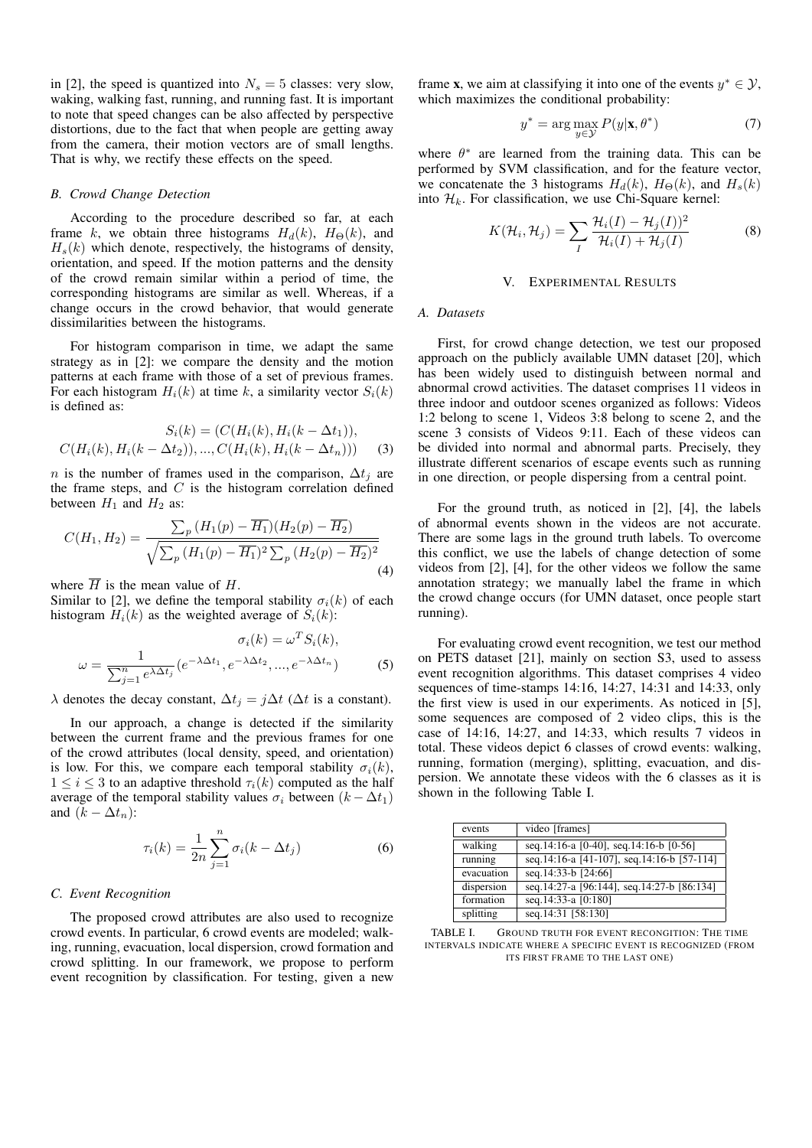in [2], the speed is quantized into  $N_s = 5$  classes: very slow, waking, walking fast, running, and running fast. It is important to note that speed changes can be also affected by perspective distortions, due to the fact that when people are getting away from the camera, their motion vectors are of small lengths. That is why, we rectify these effects on the speed.

## *B. Crowd Change Detection*

According to the procedure described so far, at each frame k, we obtain three histograms  $H_d(k)$ ,  $H_{\Theta}(k)$ , and  $H<sub>s</sub>(k)$  which denote, respectively, the histograms of density, orientation, and speed. If the motion patterns and the density of the crowd remain similar within a period of time, the corresponding histograms are similar as well. Whereas, if a change occurs in the crowd behavior, that would generate dissimilarities between the histograms.

For histogram comparison in time, we adapt the same strategy as in [2]: we compare the density and the motion patterns at each frame with those of a set of previous frames. For each histogram  $H_i(k)$  at time k, a similarity vector  $S_i(k)$ is defined as:

$$
S_i(k) = (C(H_i(k), H_i(k - \Delta t_1)),
$$
  

$$
C(H_i(k), H_i(k - \Delta t_2)), ..., C(H_i(k), H_i(k - \Delta t_n)))
$$
 (3)

n is the number of frames used in the comparison,  $\Delta t_i$  are the frame steps, and  $C$  is the histogram correlation defined between  $H_1$  and  $H_2$  as:

$$
C(H_1, H_2) = \frac{\sum_p (H_1(p) - \overline{H_1})(H_2(p) - \overline{H_2})}{\sqrt{\sum_p (H_1(p) - \overline{H_1})^2 \sum_p (H_2(p) - \overline{H_2})^2}}
$$
\n(4)

where  $\overline{H}$  is the mean value of H.

Similar to [2], we define the temporal stability  $\sigma_i(k)$  of each histogram  $H_i(k)$  as the weighted average of  $S_i(k)$ :

$$
\sigma_i(k) = \omega^T S_i(k),
$$
  

$$
\omega = \frac{1}{\sum_{j=1}^n e^{\lambda \Delta t_j}} (e^{-\lambda \Delta t_1}, e^{-\lambda \Delta t_2}, ..., e^{-\lambda \Delta t_n})
$$
 (5)

 $\lambda$  denotes the decay constant,  $\Delta t_i = j \Delta t$  ( $\Delta t$  is a constant).

In our approach, a change is detected if the similarity between the current frame and the previous frames for one of the crowd attributes (local density, speed, and orientation) is low. For this, we compare each temporal stability  $\sigma_i(k)$ ,  $1 \leq i \leq 3$  to an adaptive threshold  $\tau_i(k)$  computed as the half average of the temporal stability values  $\sigma_i$  between  $(k - \Delta t_1)$ and  $(\bar{k} - \Delta t_n)$ :

$$
\tau_i(k) = \frac{1}{2n} \sum_{j=1}^n \sigma_i(k - \Delta t_j)
$$
\n(6)

### *C. Event Recognition*

The proposed crowd attributes are also used to recognize crowd events. In particular, 6 crowd events are modeled; walking, running, evacuation, local dispersion, crowd formation and crowd splitting. In our framework, we propose to perform event recognition by classification. For testing, given a new

frame **x**, we aim at classifying it into one of the events  $y^* \in \mathcal{Y}$ , which maximizes the conditional probability:

$$
y^* = \arg\max_{y \in \mathcal{Y}} P(y|\mathbf{x}, \theta^*)
$$
 (7)

where  $\theta^*$  are learned from the training data. This can be performed by SVM classification, and for the feature vector, we concatenate the 3 histograms  $H_d(k)$ ,  $H_{\Theta}(k)$ , and  $H_s(k)$ into  $\mathcal{H}_k$ . For classification, we use Chi-Square kernel:

$$
K(\mathcal{H}_i, \mathcal{H}_j) = \sum_{I} \frac{\mathcal{H}_i(I) - \mathcal{H}_j(I))^2}{\mathcal{H}_i(I) + \mathcal{H}_j(I)}
$$
(8)

#### V. EXPERIMENTAL RESULTS

#### *A. Datasets*

First, for crowd change detection, we test our proposed approach on the publicly available UMN dataset [20], which has been widely used to distinguish between normal and abnormal crowd activities. The dataset comprises 11 videos in three indoor and outdoor scenes organized as follows: Videos 1:2 belong to scene 1, Videos 3:8 belong to scene 2, and the scene 3 consists of Videos 9:11. Each of these videos can be divided into normal and abnormal parts. Precisely, they illustrate different scenarios of escape events such as running in one direction, or people dispersing from a central point.

For the ground truth, as noticed in [2], [4], the labels of abnormal events shown in the videos are not accurate. There are some lags in the ground truth labels. To overcome this conflict, we use the labels of change detection of some videos from [2], [4], for the other videos we follow the same annotation strategy; we manually label the frame in which the crowd change occurs (for UMN dataset, once people start running).

For evaluating crowd event recognition, we test our method on PETS dataset [21], mainly on section S3, used to assess event recognition algorithms. This dataset comprises 4 video sequences of time-stamps 14:16, 14:27, 14:31 and 14:33, only the first view is used in our experiments. As noticed in [5], some sequences are composed of 2 video clips, this is the case of 14:16, 14:27, and 14:33, which results 7 videos in total. These videos depict 6 classes of crowd events: walking, running, formation (merging), splitting, evacuation, and dispersion. We annotate these videos with the 6 classes as it is shown in the following Table I.

| events     | video [frames]                             |
|------------|--------------------------------------------|
|            |                                            |
| walking    | seq.14:16-a [0-40], seq.14:16-b [0-56]     |
| running    | seq.14:16-a [41-107], seq.14:16-b [57-114] |
| evacuation | seq.14:33-b [24:66]                        |
| dispersion | seq.14:27-a [96:144], seq.14:27-b [86:134] |
| formation  | seq.14:33-a [0:180]                        |
| splitting  | seq.14:31 [58:130]                         |

TABLE I. GROUND TRUTH FOR EVENT RECONGITION: THE TIME INTERVALS INDICATE WHERE A SPECIFIC EVENT IS RECOGNIZED (FROM ITS FIRST FRAME TO THE LAST ONE)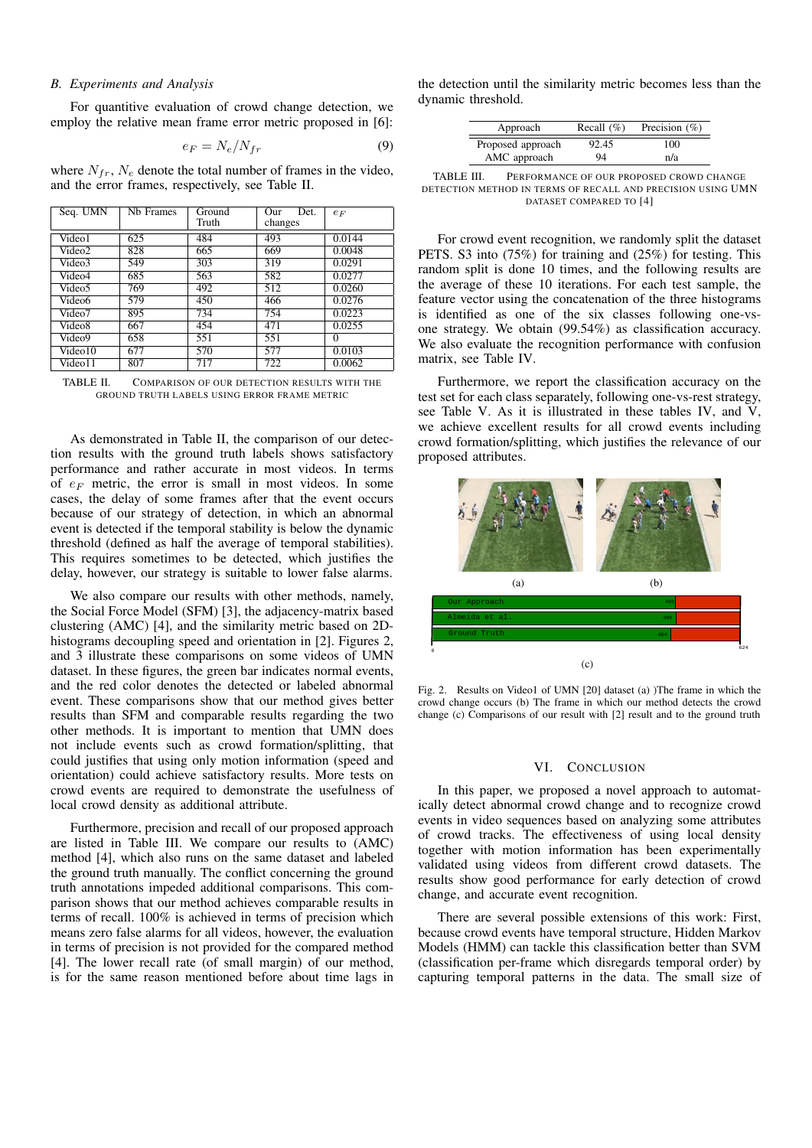## *B. Experiments and Analysis*

For quantitive evaluation of crowd change detection, we employ the relative mean frame error metric proposed in [6]:

$$
e_F = N_e / N_{fr} \tag{9}
$$

where  $N_{fr}$ ,  $N_e$  denote the total number of frames in the video, and the error frames, respectively, see Table II.

| Seq. UMN                   | Nb Frames | Ground<br>Truth | Our<br>Det.<br>changes | $e_F$    |
|----------------------------|-----------|-----------------|------------------------|----------|
|                            |           |                 |                        |          |
| Video1                     | 625       | 484             | 493                    | 0.0144   |
| Video2                     | 828       | 665             | 669                    | 0.0048   |
| Video3                     | 549       | 303             | 319                    | 0.0291   |
| $\overline{V}$ ideo4       | 685       | 563             | 582                    | 0.0277   |
| Video5                     | 769       | 492             | 512                    | 0.0260   |
| Video6                     | 579       | 450             | 466                    | 0.0276   |
| Video7                     | 895       | 734             | 754                    | 0.0223   |
| $\overline{\text{Video8}}$ | 667       | 454             | 471                    | 0.0255   |
| $\overline{\text{Video}}9$ | 658       | 551             | 551                    | $\Omega$ |
| Video10                    | 677       | 570             | 577                    | 0.0103   |
| Video11                    | 807       | 717             | $\overline{722}$       | 0.0062   |

TABLE II. COMPARISON OF OUR DETECTION RESULTS WITH THE GROUND TRUTH LABELS USING ERROR FRAME METRIC

As demonstrated in Table II, the comparison of our detection results with the ground truth labels shows satisfactory performance and rather accurate in most videos. In terms of  $e_F$  metric, the error is small in most videos. In some cases, the delay of some frames after that the event occurs because of our strategy of detection, in which an abnormal event is detected if the temporal stability is below the dynamic threshold (defined as half the average of temporal stabilities). This requires sometimes to be detected, which justifies the delay, however, our strategy is suitable to lower false alarms.

We also compare our results with other methods, namely, the Social Force Model (SFM) [3], the adjacency-matrix based clustering (AMC) [4], and the similarity metric based on 2Dhistograms decoupling speed and orientation in [2]. Figures 2, and 3 illustrate these comparisons on some videos of UMN dataset. In these figures, the green bar indicates normal events, and the red color denotes the detected or labeled abnormal event. These comparisons show that our method gives better results than SFM and comparable results regarding the two other methods. It is important to mention that UMN does not include events such as crowd formation/splitting, that could justifies that using only motion information (speed and orientation) could achieve satisfactory results. More tests on crowd events are required to demonstrate the usefulness of local crowd density as additional attribute.

Furthermore, precision and recall of our proposed approach are listed in Table III. We compare our results to (AMC) method [4], which also runs on the same dataset and labeled the ground truth manually. The conflict concerning the ground truth annotations impeded additional comparisons. This comparison shows that our method achieves comparable results in terms of recall. 100% is achieved in terms of precision which means zero false alarms for all videos, however, the evaluation in terms of precision is not provided for the compared method [4]. The lower recall rate (of small margin) of our method, is for the same reason mentioned before about time lags in the detection until the similarity metric becomes less than the dynamic threshold.

| Approach          | Recall $(\% )$ | Precision $(\% )$ |  |
|-------------------|----------------|-------------------|--|
| Proposed approach | 92.45          | 100               |  |
| AMC approach      | 94             | n/a               |  |

TABLE III. PERFORMANCE OF OUR PROPOSED CROWD CHANGE DETECTION METHOD IN TERMS OF RECALL AND PRECISION USING UMN DATASET COMPARED TO [4]

For crowd event recognition, we randomly split the dataset PETS. S3 into (75%) for training and (25%) for testing. This random split is done 10 times, and the following results are the average of these 10 iterations. For each test sample, the feature vector using the concatenation of the three histograms is identified as one of the six classes following one-vsone strategy. We obtain (99.54%) as classification accuracy. We also evaluate the recognition performance with confusion matrix, see Table IV.

Furthermore, we report the classification accuracy on the test set for each class separately, following one-vs-rest strategy, see Table V. As it is illustrated in these tables IV, and V, we achieve excellent results for all crowd events including crowd formation/splitting, which justifies the relevance of our proposed attributes.



Fig. 2. Results on Video1 of UMN [20] dataset (a) )The frame in which the crowd change occurs (b) The frame in which our method detects the crowd change (c) Comparisons of our result with [2] result and to the ground truth

## VI. CONCLUSION

In this paper, we proposed a novel approach to automatically detect abnormal crowd change and to recognize crowd events in video sequences based on analyzing some attributes of crowd tracks. The effectiveness of using local density together with motion information has been experimentally validated using videos from different crowd datasets. The results show good performance for early detection of crowd change, and accurate event recognition.

There are several possible extensions of this work: First, because crowd events have temporal structure, Hidden Markov Models (HMM) can tackle this classification better than SVM (classification per-frame which disregards temporal order) by capturing temporal patterns in the data. The small size of